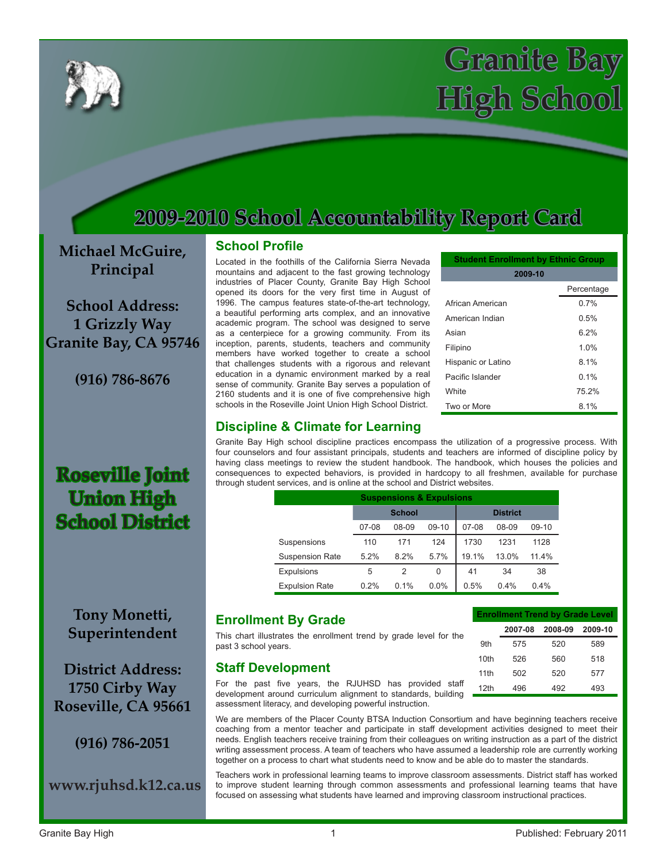

# **Granite Bay High School**

## **2009-2010 School Accountability Report Card**

**Michael McGuire, Principal**

**School Address: 1 Grizzly Way Granite Bay, CA 95746**

**(916) 786-8676**

**Roseville Joint Union High** 

**School District**

#### **School Profile**

Located in the foothills of the California Sierra Nevada mountains and adjacent to the fast growing technology industries of Placer County, Granite Bay High School opened its doors for the very first time in August of 1996. The campus features state-of-the-art technology, a beautiful performing arts complex, and an innovative academic program. The school was designed to serve as a centerpiece for a growing community. From its inception, parents, students, teachers and community members have worked together to create a school that challenges students with a rigorous and relevant education in a dynamic environment marked by a real sense of community. Granite Bay serves a population of 2160 students and it is one of five comprehensive high schools in the Roseville Joint Union High School District.

| <b>Student Enrollment by Ethnic Group</b> |            |  |  |  |  |  |  |  |
|-------------------------------------------|------------|--|--|--|--|--|--|--|
| 2009-10                                   |            |  |  |  |  |  |  |  |
|                                           | Percentage |  |  |  |  |  |  |  |
| African American                          | 0.7%       |  |  |  |  |  |  |  |
| American Indian                           | 0.5%       |  |  |  |  |  |  |  |
| Asian                                     | 6.2%       |  |  |  |  |  |  |  |
| Filipino                                  | 1.0%       |  |  |  |  |  |  |  |
| Hispanic or Latino                        | 8.1%       |  |  |  |  |  |  |  |
| Pacific Islander                          | 0.1%       |  |  |  |  |  |  |  |
| <b>White</b>                              | 75.2%      |  |  |  |  |  |  |  |
| Two or More                               | 8.1%       |  |  |  |  |  |  |  |

#### **Discipline & Climate for Learning**

Granite Bay High school discipline practices encompass the utilization of a progressive process. With four counselors and four assistant principals, students and teachers are informed of discipline policy by having class meetings to review the student handbook. The handbook, which houses the policies and consequences to expected behaviors, is provided in hardcopy to all freshmen, available for purchase through student services, and is online at the school and District websites.

| <b>Suspensions &amp; Expulsions</b> |         |                |         |         |                 |         |  |
|-------------------------------------|---------|----------------|---------|---------|-----------------|---------|--|
|                                     |         | <b>School</b>  |         |         | <b>District</b> |         |  |
|                                     | $07-08$ | 08-09          | $09-10$ | $07-08$ | 08-09           | $09-10$ |  |
| Suspensions                         | 110     | 171            | 124     | 1730    | 1231            | 1128    |  |
| <b>Suspension Rate</b>              | 5.2%    | 8.2%           | 5.7%    | 19.1%   | 13.0%           | 11.4%   |  |
| Expulsions                          | 5       | $\overline{2}$ | 0       | 41      | 34              | 38      |  |
| <b>Expulsion Rate</b>               | 0.2%    | 0.1%           | 0.0%    | 0.5%    | 0.4%            | 0.4%    |  |

### **Tony Monetti, Superintendent**

**District Address: 1750 Cirby Way Roseville, CA 95661**

**(916) 786-2051**

**www.rjuhsd.k12.ca.us**

#### **Enrollment By Grade**

This chart illustrates the enrollment trend by grade level for the past 3 school years.

#### **Staff Development**

For the past five years, the RJUHSD has provided staff development around curriculum alignment to standards, building assessment literacy, and developing powerful instruction.

We are members of the Placer County BTSA Induction Consortium and have beginning teachers receive coaching from a mentor teacher and participate in staff development activities designed to meet their needs. English teachers receive training from their colleagues on writing instruction as a part of the district writing assessment process. A team of teachers who have assumed a leadership role are currently working together on a process to chart what students need to know and be able do to master the standards.

Teachers work in professional learning teams to improve classroom assessments. District staff has worked to improve student learning through common assessments and professional learning teams that have focused on assessing what students have learned and improving classroom instructional practices.

**Enrollment Trend by Grade Level 2007-08 2008-09 2009-10**

9th 575 520 589 10th 526 560 518 11th 502 520 577 12th 496 492 493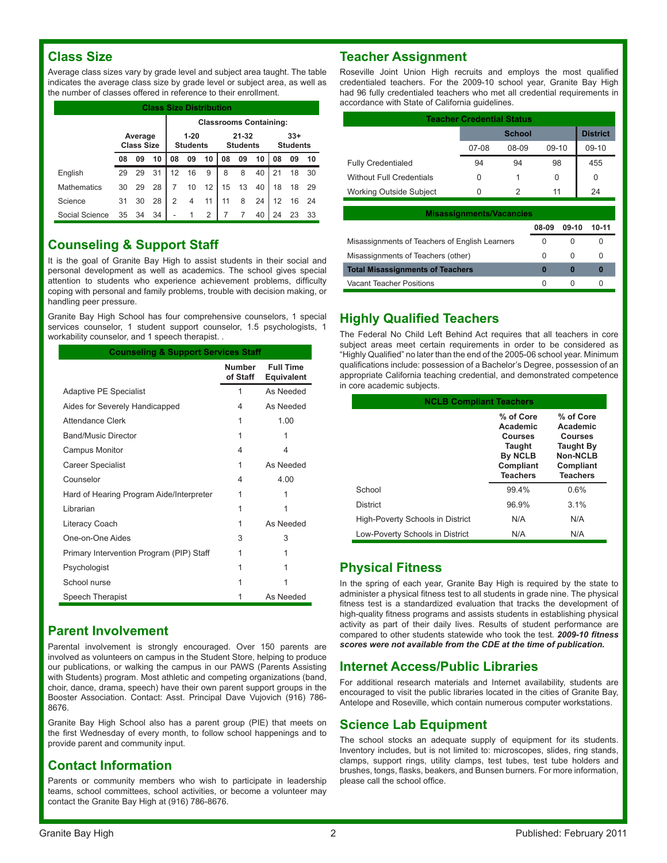#### **Class Size**

Average class sizes vary by grade level and subject area taught. The table indicates the average class size by grade level or subject area, as well as the number of classes offered in reference to their enrollment.

| <b>Class Size Distribution</b> |    |                                          |    |                 |    |                              |    |    |                               |                          |    |    |
|--------------------------------|----|------------------------------------------|----|-----------------|----|------------------------------|----|----|-------------------------------|--------------------------|----|----|
|                                |    |                                          |    |                 |    |                              |    |    | <b>Classrooms Containing:</b> |                          |    |    |
|                                |    | $1 - 20$<br>Average<br><b>Class Size</b> |    | <b>Students</b> |    | $21 - 32$<br><b>Students</b> |    |    |                               | $33+$<br><b>Students</b> |    |    |
|                                | 08 | 09                                       | 10 | 08              | 09 | 10                           | 08 | 09 | 10                            | 08                       | 09 | 10 |
| English                        | 29 | 29                                       | 31 | 12              | 16 | 9                            | 8  | 8  | 40                            | 21                       | 18 | 30 |
| <b>Mathematics</b>             | 30 | 29                                       | 28 | $\overline{7}$  | 10 | 12                           | 15 | 13 | 40                            | 18                       | 18 | 29 |
| Science                        | 31 | 30                                       | 28 | 2               | 4  | 11                           | 11 | 8  | 24                            | 12                       | 16 | 24 |
| Social Science                 | 35 | 34                                       | 34 |                 |    | 2                            |    |    | 40                            | 24                       | 23 | 33 |

#### **Counseling & Support Staff**

It is the goal of Granite Bay High to assist students in their social and personal development as well as academics. The school gives special attention to students who experience achievement problems, difficulty coping with personal and family problems, trouble with decision making, or handling peer pressure.

Granite Bay High School has four comprehensive counselors, 1 special services counselor, 1 student support counselor, 1.5 psychologists, 1 workability counselor, and 1 speech therapist. .

| <b>Counseling &amp; Support Services Staff</b> |                           |                                |  |  |  |  |  |
|------------------------------------------------|---------------------------|--------------------------------|--|--|--|--|--|
|                                                | <b>Number</b><br>of Staff | <b>Full Time</b><br>Equivalent |  |  |  |  |  |
| Adaptive PE Specialist                         | 1                         | As Needed                      |  |  |  |  |  |
| Aides for Severely Handicapped                 | 4                         | As Needed                      |  |  |  |  |  |
| Attendance Clerk                               | 1                         | 1.00                           |  |  |  |  |  |
| <b>Band/Music Director</b>                     | 1                         | 1                              |  |  |  |  |  |
| Campus Monitor                                 | 4                         | 4                              |  |  |  |  |  |
| Career Specialist                              | 1                         | As Needed                      |  |  |  |  |  |
| Counselor                                      | 4                         | 4.00                           |  |  |  |  |  |
| Hard of Hearing Program Aide/Interpreter       | 1                         | 1                              |  |  |  |  |  |
| Librarian                                      | 1                         | 1                              |  |  |  |  |  |
| Literacy Coach                                 | 1                         | As Needed                      |  |  |  |  |  |
| One-on-One Aides                               | 3                         | 3                              |  |  |  |  |  |
| Primary Intervention Program (PIP) Staff       | 1                         | 1                              |  |  |  |  |  |
| Psychologist                                   | 1                         | 1                              |  |  |  |  |  |
| School nurse                                   | 1                         | 1                              |  |  |  |  |  |
| Speech Therapist                               |                           | As Needed                      |  |  |  |  |  |

#### **Parent Involvement**

Parental involvement is strongly encouraged. Over 150 parents are involved as volunteers on campus in the Student Store, helping to produce our publications, or walking the campus in our PAWS (Parents Assisting with Students) program. Most athletic and competing organizations (band, choir, dance, drama, speech) have their own parent support groups in the Booster Association. Contact: Asst. Principal Dave Vujovich (916) 786- 8676.

Granite Bay High School also has a parent group (PIE) that meets on the first Wednesday of every month, to follow school happenings and to provide parent and community input.

#### **Contact Information**

Parents or community members who wish to participate in leadership teams, school committees, school activities, or become a volunteer may contact the Granite Bay High at (916) 786-8676.

#### **Teacher Assignment**

Roseville Joint Union High recruits and employs the most qualified credentialed teachers. For the 2009-10 school year, Granite Bay High had 96 fully credentialed teachers who met all credential requirements in accordance with State of California guidelines.

| <b>Teacher Credential Status</b> |         |                 |         |         |  |  |  |  |
|----------------------------------|---------|-----------------|---------|---------|--|--|--|--|
|                                  |         | <b>District</b> |         |         |  |  |  |  |
|                                  | $07-08$ | 08-09           | $09-10$ | $09-10$ |  |  |  |  |
| <b>Fully Credentialed</b>        | 94      | 94              | 98      | 455     |  |  |  |  |
| <b>Without Full Credentials</b>  | 0       |                 | 0       | 0       |  |  |  |  |
| <b>Working Outside Subject</b>   | O       | 2               | 11      | 24      |  |  |  |  |

| <b>Misassignments/Vacancies</b>                |       |              |       |  |  |  |  |  |
|------------------------------------------------|-------|--------------|-------|--|--|--|--|--|
|                                                | 08-09 | 09-10        | 10-11 |  |  |  |  |  |
| Misassignments of Teachers of English Learners | 0     | 0            |       |  |  |  |  |  |
| Misassignments of Teachers (other)             | U     | <sup>0</sup> |       |  |  |  |  |  |
| <b>Total Misassignments of Teachers</b>        | Ω     | 0            |       |  |  |  |  |  |
| Vacant Teacher Positions                       |       | $\mathbf{r}$ |       |  |  |  |  |  |

#### **Highly Qualified Teachers**

The Federal No Child Left Behind Act requires that all teachers in core subject areas meet certain requirements in order to be considered as "Highly Qualified" no later than the end of the 2005-06 school year. Minimum qualifications include: possession of a Bachelor's Degree, possession of an appropriate California teaching credential, and demonstrated competence in core academic subjects.

| <b>NCLB Compliant Teachers</b>   |                                                                                                            |                                                                                                         |  |  |  |  |  |
|----------------------------------|------------------------------------------------------------------------------------------------------------|---------------------------------------------------------------------------------------------------------|--|--|--|--|--|
|                                  | % of Core<br>Academic<br><b>Courses</b><br><b>Taught</b><br><b>By NCLB</b><br>Compliant<br><b>Teachers</b> | % of Core<br>Academic<br><b>Courses</b><br><b>Taught By</b><br>Non-NCLB<br>Compliant<br><b>Teachers</b> |  |  |  |  |  |
| School                           | 99.4%                                                                                                      | 0.6%                                                                                                    |  |  |  |  |  |
| <b>District</b>                  | 96.9%                                                                                                      | $3.1\%$                                                                                                 |  |  |  |  |  |
| High-Poverty Schools in District | N/A                                                                                                        | N/A                                                                                                     |  |  |  |  |  |
| Low-Poverty Schools in District  | N/A                                                                                                        | N/A                                                                                                     |  |  |  |  |  |

#### **Physical Fitness**

In the spring of each year, Granite Bay High is required by the state to administer a physical fitness test to all students in grade nine. The physical fitness test is a standardized evaluation that tracks the development of high-quality fitness programs and assists students in establishing physical activity as part of their daily lives. Results of student performance are compared to other students statewide who took the test. *2009-10 fitness scores were not available from the CDE at the time of publication.*

#### **Internet Access/Public Libraries**

For additional research materials and Internet availability, students are encouraged to visit the public libraries located in the cities of Granite Bay, Antelope and Roseville, which contain numerous computer workstations.

#### **Science Lab Equipment**

The school stocks an adequate supply of equipment for its students. Inventory includes, but is not limited to: microscopes, slides, ring stands, clamps, support rings, utility clamps, test tubes, test tube holders and brushes, tongs, flasks, beakers, and Bunsen burners. For more information, please call the school office.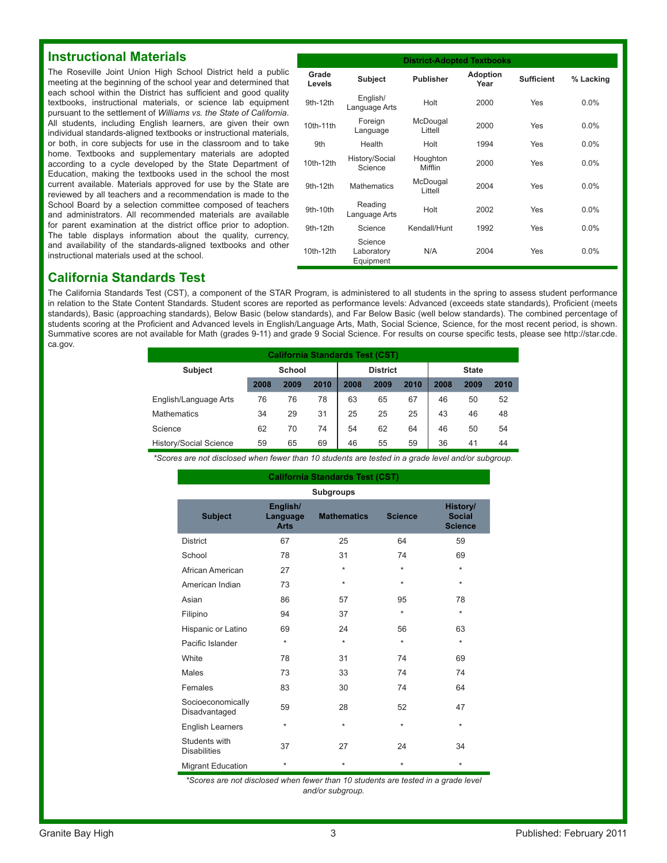#### **Instructional Materials**

The Roseville Joint Union High School District held a public meeting at the beginning of the school year and determined that each school within the District has sufficient and good quality textbooks, instructional materials, or science lab equipment pursuant to the settlement of *Williams vs. the State of California*. All students, including English learners, are given their own individual standards-aligned textbooks or instructional materials, or both, in core subjects for use in the classroom and to take home. Textbooks and supplementary materials are adopted according to a cycle developed by the State Department of Education, making the textbooks used in the school the most current available. Materials approved for use by the State are reviewed by all teachers and a recommendation is made to the School Board by a selection committee composed of teachers and administrators. All recommended materials are available for parent examination at the district office prior to adoption. The table displays information about the quality, currency, and availability of the standards-aligned textbooks and other instructional materials used at the school.

| <b>District-Adopted Textbooks</b> |                                    |                     |                         |                   |           |  |  |
|-----------------------------------|------------------------------------|---------------------|-------------------------|-------------------|-----------|--|--|
| Grade<br>Levels                   | <b>Subject</b>                     | <b>Publisher</b>    | <b>Adoption</b><br>Year | <b>Sufficient</b> | % Lacking |  |  |
| 9th-12th                          | English/<br>Language Arts          | Holt                | 2000                    | Yes               | $0.0\%$   |  |  |
| 10th-11th                         | Foreign<br>Language                | McDougal<br>Littell | 2000                    | Yes               | $0.0\%$   |  |  |
| 9th                               | Health                             | Holt                | 1994                    | Yes               | $0.0\%$   |  |  |
| 10th-12th                         | History/Social<br>Science          | Houghton<br>Mifflin | 2000                    | Yes               | $0.0\%$   |  |  |
| 9th-12th                          | <b>Mathematics</b>                 | McDougal<br>Littell | 2004                    | Yes               | $0.0\%$   |  |  |
| 9th-10th                          | Reading<br>Language Arts           | Holt                | 2002                    | Yes               | $0.0\%$   |  |  |
| 9th-12th                          | Science                            | Kendall/Hunt        | 1992                    | Yes               | $0.0\%$   |  |  |
| 10th-12th                         | Science<br>Laboratory<br>Equipment | N/A                 | 2004                    | Yes               | $0.0\%$   |  |  |

#### **California Standards Test**

The California Standards Test (CST), a component of the STAR Program, is administered to all students in the spring to assess student performance in relation to the State Content Standards. Student scores are reported as performance levels: Advanced (exceeds state standards), Proficient (meets standards), Basic (approaching standards), Below Basic (below standards), and Far Below Basic (well below standards). The combined percentage of students scoring at the Proficient and Advanced levels in English/Language Arts, Math, Social Science, Science, for the most recent period, is shown. Summative scores are not available for Math (grades 9-11) and grade 9 Social Science. For results on course specific tests, please see http://star.cde. ca.gov.

| <b>California Standards Test (CST)</b> |               |      |      |                 |      |      |              |      |      |
|----------------------------------------|---------------|------|------|-----------------|------|------|--------------|------|------|
| <b>Subject</b>                         | <b>School</b> |      |      | <b>District</b> |      |      | <b>State</b> |      |      |
|                                        | 2008          | 2009 | 2010 | 2008            | 2009 | 2010 | 2008         | 2009 | 2010 |
| English/Language Arts                  | 76            | 76   | 78   | 63              | 65   | 67   | 46           | 50   | 52   |
| <b>Mathematics</b>                     | 34            | 29   | 31   | 25              | 25   | 25   | 43           | 46   | 48   |
| Science                                | 62            | 70   | 74   | 54              | 62   | 64   | 46           | 50   | 54   |
| <b>History/Social Science</b>          | 59            | 65   | 69   | 46              | 55   | 59   | 36           | 41   | 44   |

*\*Scores are not disclosed when fewer than 10 students are tested in a grade level and/or subgroup.*

| California Standards Test (CST)      |                                     |                    |                |                                             |  |  |  |  |  |
|--------------------------------------|-------------------------------------|--------------------|----------------|---------------------------------------------|--|--|--|--|--|
|                                      | <b>Subgroups</b>                    |                    |                |                                             |  |  |  |  |  |
| <b>Subject</b>                       | English/<br>Language<br><b>Arts</b> | <b>Mathematics</b> | <b>Science</b> | History/<br><b>Social</b><br><b>Science</b> |  |  |  |  |  |
| <b>District</b>                      | 67                                  | 25                 | 64             | 59                                          |  |  |  |  |  |
| School                               | 78                                  | 31                 | 74             | 69                                          |  |  |  |  |  |
| African American                     | 27                                  | $\star$            | $\star$        | $\star$                                     |  |  |  |  |  |
| American Indian                      | 73                                  | $\star$            | $\star$        | $\star$                                     |  |  |  |  |  |
| Asian                                | 86                                  | 57                 | 95             | 78                                          |  |  |  |  |  |
| Filipino                             | 94                                  | 37                 | $\star$        | $\star$                                     |  |  |  |  |  |
| Hispanic or Latino                   | 69                                  | 24                 | 56             | 63                                          |  |  |  |  |  |
| Pacific Islander                     | $\star$                             | $\star$            | $\star$        | $\star$                                     |  |  |  |  |  |
| White                                | 78                                  | 31                 | 74             | 69                                          |  |  |  |  |  |
| Males                                | 73                                  | 33                 | 74             | 74                                          |  |  |  |  |  |
| Females                              | 83                                  | 30                 | 74             | 64                                          |  |  |  |  |  |
| Socioeconomically<br>Disadvantaged   | 59                                  | 28                 | 52             | 47                                          |  |  |  |  |  |
| <b>English Learners</b>              | $\star$                             | $\star$            | $\star$        | $\star$                                     |  |  |  |  |  |
| Students with<br><b>Disabilities</b> | 37                                  | 27                 | 24             | 34                                          |  |  |  |  |  |
| <b>Migrant Education</b>             | $\star$                             | $\star$            | $\star$        | $\star$                                     |  |  |  |  |  |

*\*Scores are not disclosed when fewer than 10 students are tested in a grade level and/or subgroup.*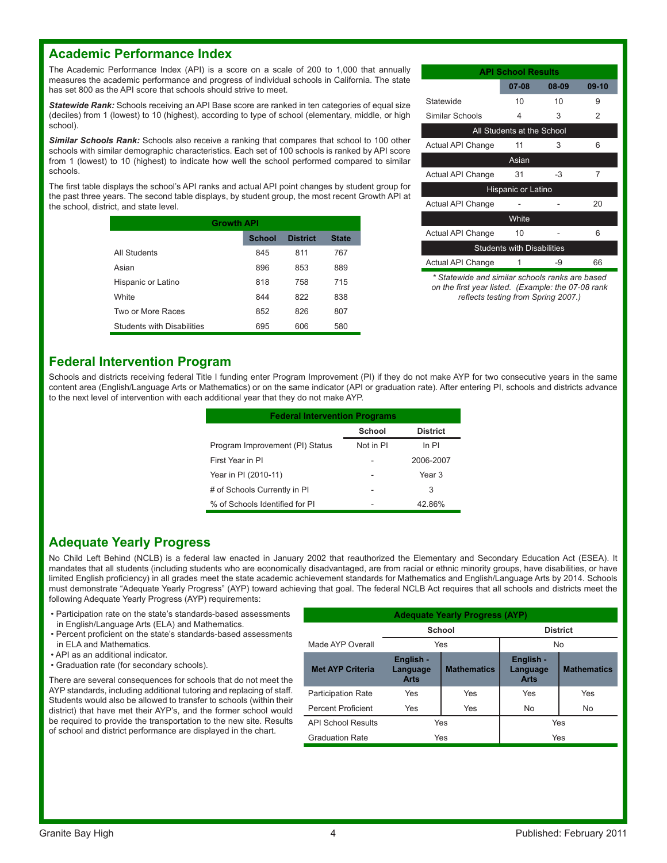#### **Academic Performance Index**

The Academic Performance Index (API) is a score on a scale of 200 to 1,000 that annually measures the academic performance and progress of individual schools in California. The state has set 800 as the API score that schools should strive to meet.

*Statewide Rank:* Schools receiving an API Base score are ranked in ten categories of equal size (deciles) from 1 (lowest) to 10 (highest), according to type of school (elementary, middle, or high school).

**Similar Schools Rank:** Schools also receive a ranking that compares that school to 100 other schools with similar demographic characteristics. Each set of 100 schools is ranked by API score from 1 (lowest) to 10 (highest) to indicate how well the school performed compared to similar schools.

The first table displays the school's API ranks and actual API point changes by student group for the past three years. The second table displays, by student group, the most recent Growth API at the school, district, and state level.

| <b>Growth API</b>                 |               |                 |              |  |  |  |  |  |
|-----------------------------------|---------------|-----------------|--------------|--|--|--|--|--|
|                                   | <b>School</b> | <b>District</b> | <b>State</b> |  |  |  |  |  |
| All Students                      | 845           | 811             | 767          |  |  |  |  |  |
| Asian                             | 896           | 853             | 889          |  |  |  |  |  |
| Hispanic or Latino                | 818           | 758             | 715          |  |  |  |  |  |
| White                             | 844           | 822             | 838          |  |  |  |  |  |
| Two or More Races                 | 852           | 826             | 807          |  |  |  |  |  |
| <b>Students with Disabilities</b> | 695           | 606             | 580          |  |  |  |  |  |

| <b>API School Results</b>         |                            |       |         |  |  |  |  |  |  |
|-----------------------------------|----------------------------|-------|---------|--|--|--|--|--|--|
|                                   | 07-08                      | 08-09 | $09-10$ |  |  |  |  |  |  |
| Statewide                         | 10                         | 10    | 9       |  |  |  |  |  |  |
| Similar Schools                   | 4                          | 3     | 2       |  |  |  |  |  |  |
|                                   | All Students at the School |       |         |  |  |  |  |  |  |
| Actual API Change                 | 11                         | 3     | 6       |  |  |  |  |  |  |
|                                   | Asian                      |       |         |  |  |  |  |  |  |
| Actual API Change                 | 31                         | -3    | 7       |  |  |  |  |  |  |
|                                   | Hispanic or Latino         |       |         |  |  |  |  |  |  |
| Actual API Change                 |                            |       | 20      |  |  |  |  |  |  |
|                                   | White                      |       |         |  |  |  |  |  |  |
| <b>Actual API Change</b>          | 10                         |       | 6       |  |  |  |  |  |  |
| <b>Students with Disabilities</b> |                            |       |         |  |  |  |  |  |  |
| Actual API Change                 |                            | -9    | 66      |  |  |  |  |  |  |
|                                   |                            |       |         |  |  |  |  |  |  |

*\* Statewide and similar schools ranks are based on the first year listed. (Example: the 07-08 rank reflects testing from Spring 2007.)*

#### **Federal Intervention Program**

Schools and districts receiving federal Title I funding enter Program Improvement (PI) if they do not make AYP for two consecutive years in the same content area (English/Language Arts or Mathematics) or on the same indicator (API or graduation rate). After entering PI, schools and districts advance to the next level of intervention with each additional year that they do not make AYP.

| <b>Federal Intervention Programs</b> |               |                   |
|--------------------------------------|---------------|-------------------|
|                                      | <b>School</b> | <b>District</b>   |
| Program Improvement (PI) Status      | Not in PI     | ln Pl             |
| First Year in PI                     |               | 2006-2007         |
| Year in PI (2010-11)                 |               | Year <sub>3</sub> |
| # of Schools Currently in PI         |               | 3                 |
| % of Schools Identified for PI       |               | 42.86%            |

#### **Adequate Yearly Progress**

No Child Left Behind (NCLB) is a federal law enacted in January 2002 that reauthorized the Elementary and Secondary Education Act (ESEA). It mandates that all students (including students who are economically disadvantaged, are from racial or ethnic minority groups, have disabilities, or have limited English proficiency) in all grades meet the state academic achievement standards for Mathematics and English/Language Arts by 2014. Schools must demonstrate "Adequate Yearly Progress" (AYP) toward achieving that goal. The federal NCLB Act requires that all schools and districts meet the following Adequate Yearly Progress (AYP) requirements:

- Participation rate on the state's standards-based assessments in English/Language Arts (ELA) and Mathematics.
- Percent proficient on the state's standards-based assessments in ELA and Mathematics.
- API as an additional indicator.
- Graduation rate (for secondary schools).

There are several consequences for schools that do not meet the AYP standards, including additional tutoring and replacing of staff. Students would also be allowed to transfer to schools (within their district) that have met their AYP's, and the former school would be required to provide the transportation to the new site. Results of school and district performance are displayed in the chart.

| <b>Adequate Yearly Progress (AYP)</b> |                                      |                    |                                      |                    |
|---------------------------------------|--------------------------------------|--------------------|--------------------------------------|--------------------|
|                                       | School                               |                    |                                      | <b>District</b>    |
| Made AYP Overall                      |                                      | Yes                |                                      | <b>No</b>          |
| <b>Met AYP Criteria</b>               | English -<br>Language<br><b>Arts</b> | <b>Mathematics</b> | English -<br>Language<br><b>Arts</b> | <b>Mathematics</b> |
| <b>Participation Rate</b>             | Yes                                  | Yes                | Yes                                  | Yes                |
| <b>Percent Proficient</b>             | Yes                                  | Yes                | No                                   | No.                |
| <b>API School Results</b>             | Yes                                  |                    |                                      | Yes                |
| <b>Graduation Rate</b>                |                                      | Yes                |                                      | Yes                |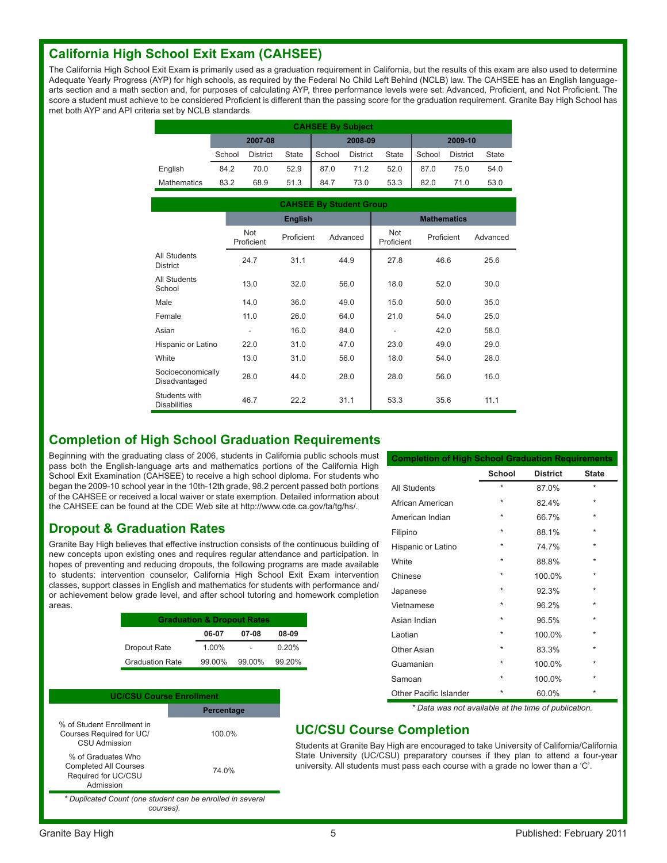#### **California High School Exit Exam (CAHSEE)**

The California High School Exit Exam is primarily used as a graduation requirement in California, but the results of this exam are also used to determine Adequate Yearly Progress (AYP) for high schools, as required by the Federal No Child Left Behind (NCLB) law. The CAHSEE has an English languagearts section and a math section and, for purposes of calculating AYP, three performance levels were set: Advanced, Proficient, and Not Proficient. The score a student must achieve to be considered Proficient is different than the passing score for the graduation requirement. Granite Bay High School has met both AYP and API criteria set by NCLB standards.

|                    | <b>CAHSEE By Subject</b> |                 |              |         |                 |              |         |                 |              |
|--------------------|--------------------------|-----------------|--------------|---------|-----------------|--------------|---------|-----------------|--------------|
|                    | 2007-08                  |                 |              | 2008-09 |                 |              | 2009-10 |                 |              |
|                    | School                   | <b>District</b> | <b>State</b> | School  | <b>District</b> | <b>State</b> | School  | <b>District</b> | <b>State</b> |
| English            | 84.2                     | 70.0            | 52.9         | 87.0    | 71.2            | 52.0         | 87.0    | 75.0            | 54.0         |
| <b>Mathematics</b> | 83.2                     | 68.9            | 51.3         | 84.7    | 73.0            | 53.3         | 82.0    | 71.0            | 53.0         |

|                                      | <b>CAHSEE By Student Group</b> |                |          |                   |                    |          |
|--------------------------------------|--------------------------------|----------------|----------|-------------------|--------------------|----------|
|                                      |                                | <b>English</b> |          |                   | <b>Mathematics</b> |          |
|                                      | <b>Not</b><br>Proficient       | Proficient     | Advanced | Not<br>Proficient | Proficient         | Advanced |
| All Students<br><b>District</b>      | 24.7                           | 31.1           | 44.9     | 27.8              | 46.6               | 25.6     |
| All Students<br>School               | 13.0                           | 32.0           | 56.0     | 18.0              | 52.0               | 30.0     |
| Male                                 | 14.0                           | 36.0           | 49.0     | 15.0              | 50.0               | 35.0     |
| Female                               | 11.0                           | 26.0           | 64.0     | 21.0              | 54.0               | 25.0     |
| Asian                                |                                | 16.0           | 84.0     |                   | 42.0               | 58.0     |
| Hispanic or Latino                   | 22.0                           | 31.0           | 47.0     | 23.0              | 49.0               | 29.0     |
| White                                | 13.0                           | 31.0           | 56.0     | 18.0              | 54.0               | 28.0     |
| Socioeconomically<br>Disadvantaged   | 28.0                           | 44.0           | 28.0     | 28.0              | 56.0               | 16.0     |
| Students with<br><b>Disabilities</b> | 46.7                           | 22.2           | 31.1     | 53.3              | 35.6               | 11.1     |

#### **Completion of High School Graduation Requirements**

Beginning with the graduating class of 2006, students in California public schools must pass both the English-language arts and mathematics portions of the California High School Exit Examination (CAHSEE) to receive a high school diploma. For students who began the 2009-10 school year in the 10th-12th grade, 98.2 percent passed both portions of the CAHSEE or received a local waiver or state exemption. Detailed information about the CAHSEE can be found at the CDE Web site at http://www.cde.ca.gov/ta/tg/hs/.

#### **Dropout & Graduation Rates**

Granite Bay High believes that effective instruction consists of the continuous building of new concepts upon existing ones and requires regular attendance and participation. In hopes of preventing and reducing dropouts, the following programs are made available to students: intervention counselor, California High School Exit Exam intervention classes, support classes in English and mathematics for students with performance and/ or achievement below grade level, and after school tutoring and homework completion areas.

|                        | <b>Graduation &amp; Dropout Rates</b> |        |        |
|------------------------|---------------------------------------|--------|--------|
|                        | 06-07                                 | 07-08  | 08-09  |
| Dropout Rate           | 1.00%                                 |        | 0.20%  |
| <b>Graduation Rate</b> | 99.00%                                | 99.00% | 99.20% |

| <b>UC/CSU Course Enrollment</b>                                                        |                   |
|----------------------------------------------------------------------------------------|-------------------|
|                                                                                        | <b>Percentage</b> |
| % of Student Enrollment in<br>Courses Required for UC/<br>CSU Admission                | 100.0%            |
| % of Graduates Who<br><b>Completed All Courses</b><br>Required for UC/CSU<br>Admission | 74.0%             |
| * Duplicated Count (one student can be enrolled in several                             |                   |

*\* Duplicated Count (one student can be enrolled in several courses).*

| <b>Completion of High School Graduation Requirements</b> |               |                 |              |
|----------------------------------------------------------|---------------|-----------------|--------------|
|                                                          | <b>School</b> | <b>District</b> | <b>State</b> |
| All Students                                             | $\star$       | 87.0%           | $\star$      |
| African American                                         | $\ast$        | 82.4%           | $\ast$       |
| American Indian                                          | $\ast$        | 66.7%           | $\ast$       |
| Filipino                                                 | $\ast$        | 88.1%           | $\ast$       |
| Hispanic or Latino                                       | $\star$       | 74.7%           | $\star$      |
| White                                                    | $\ast$        | 88.8%           | $\star$      |
| Chinese                                                  | $\star$       | 100.0%          | $\star$      |
| Japanese                                                 | $\star$       | 92.3%           | $\ast$       |
| Vietnamese                                               | $\star$       | 96.2%           | $\star$      |
| Asian Indian                                             | $\star$       | 96.5%           | $\star$      |
| Laotian                                                  | $\ast$        | 100.0%          | $\star$      |
| Other Asian                                              | $\star$       | 83.3%           | $\star$      |
| Guamanian                                                | $\ast$        | 100.0%          | $\star$      |
| Samoan                                                   | $\star$       | 100.0%          | $\star$      |
| Other Pacific Islander                                   | $\star$       | 60.0%           | $\star$      |

*\* Data was not available at the time of publication.*

#### **UC/CSU Course Completion**

Students at Granite Bay High are encouraged to take University of California/California State University (UC/CSU) preparatory courses if they plan to attend a four-year university. All students must pass each course with a grade no lower than a 'C'.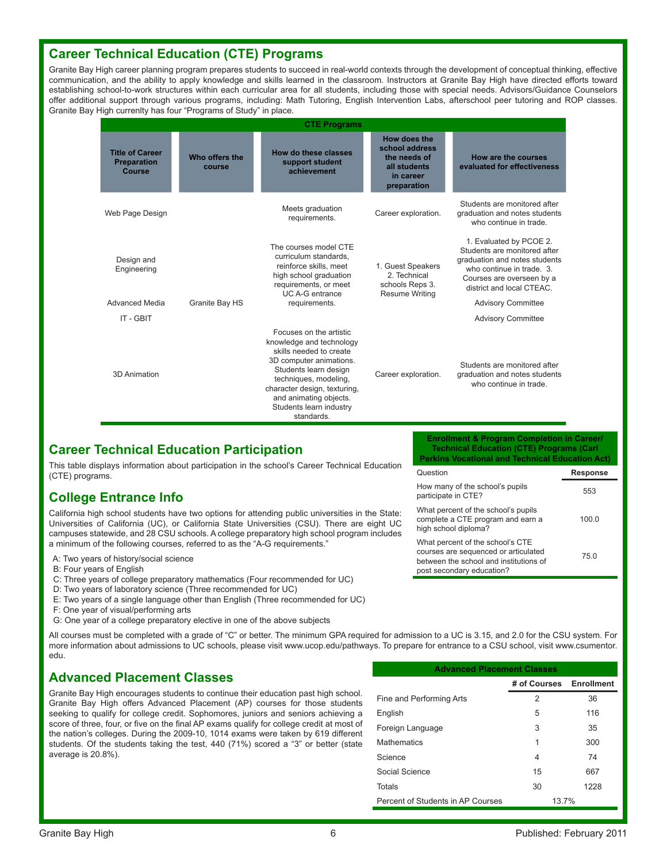#### **Career Technical Education (CTE) Programs**

Granite Bay High career planning program prepares students to succeed in real-world contexts through the development of conceptual thinking, effective communication, and the ability to apply knowledge and skills learned in the classroom. Instructors at Granite Bay High have directed efforts toward establishing school-to-work structures within each curricular area for all students, including those with special needs. Advisors/Guidance Counselors offer additional support through various programs, including: Math Tutoring, English Intervention Labs, afterschool peer tutoring and ROP classes. Granite Bay High currenlty has four "Programs of Study" in place.

|                                                               |                          | <b>CTE Programs</b>                                                                                                                                                                                                                                            |                                                                                            |                                                                                                                                                                                 |
|---------------------------------------------------------------|--------------------------|----------------------------------------------------------------------------------------------------------------------------------------------------------------------------------------------------------------------------------------------------------------|--------------------------------------------------------------------------------------------|---------------------------------------------------------------------------------------------------------------------------------------------------------------------------------|
| <b>Title of Career</b><br><b>Preparation</b><br><b>Course</b> | Who offers the<br>course | How do these classes<br>support student<br>achievement                                                                                                                                                                                                         | How does the<br>school address<br>the needs of<br>all students<br>in career<br>preparation | How are the courses<br>evaluated for effectiveness                                                                                                                              |
| Web Page Design                                               |                          | Meets graduation<br>requirements.                                                                                                                                                                                                                              | Career exploration.                                                                        | Students are monitored after<br>graduation and notes students<br>who continue in trade.                                                                                         |
| Design and<br>Engineering                                     |                          | The courses model CTE<br>curriculum standards.<br>reinforce skills, meet<br>high school graduation<br>requirements, or meet<br><b>UC A-G entrance</b>                                                                                                          | 1. Guest Speakers<br>2. Technical<br>schools Reps 3.<br><b>Resume Writing</b>              | 1. Evaluated by PCOE 2.<br>Students are monitored after<br>graduation and notes students<br>who continue in trade. 3.<br>Courses are overseen by a<br>district and local CTEAC. |
| <b>Advanced Media</b>                                         | Granite Bay HS           | requirements.                                                                                                                                                                                                                                                  |                                                                                            | <b>Advisory Committee</b>                                                                                                                                                       |
| IT - GBIT                                                     |                          |                                                                                                                                                                                                                                                                |                                                                                            | <b>Advisory Committee</b>                                                                                                                                                       |
| 3D Animation                                                  |                          | Focuses on the artistic<br>knowledge and technology<br>skills needed to create<br>3D computer animations.<br>Students learn design<br>techniques, modeling,<br>character design, texturing,<br>and animating objects.<br>Students learn industry<br>standards. | Career exploration.                                                                        | Students are monitored after<br>graduation and notes students<br>who continue in trade.                                                                                         |

#### **Career Technical Education Participation**

This table displays information about participation in the school's Career Technical Education (CTE) programs.

#### **College Entrance Info**

California high school students have two options for attending public universities in the State: Universities of California (UC), or California State Universities (CSU). There are eight UC campuses statewide, and 28 CSU schools. A college preparatory high school program includes a minimum of the following courses, referred to as the "A-G requirements."

- A: Two years of history/social science
- B: Four years of English
- C: Three years of college preparatory mathematics (Four recommended for UC)
- D: Two years of laboratory science (Three recommended for UC)
- E: Two years of a single language other than English (Three recommended for UC)
- F: One year of visual/performing arts
- G: One year of a college preparatory elective in one of the above subjects

All courses must be completed with a grade of "C" or better. The minimum GPA required for admission to a UC is 3.15, and 2.0 for the CSU system. For more information about admissions to UC schools, please visit www.ucop.edu/pathways. To prepare for entrance to a CSU school, visit www.csumentor. edu.

#### **Advanced Placement Classes**

Granite Bay High encourages students to continue their education past high school. Granite Bay High offers Advanced Placement (AP) courses for those students seeking to qualify for college credit. Sophomores, juniors and seniors achieving a score of three, four, or five on the final AP exams qualify for college credit at most of the nation's colleges. During the 2009-10, 1014 exams were taken by 619 different students. Of the students taking the test, 440 (71%) scored a "3" or better (state average is 20.8%).

| <b>Advanced Placement Classes</b> |                         |      |  |  |
|-----------------------------------|-------------------------|------|--|--|
|                                   | # of Courses Enrollment |      |  |  |
| Fine and Performing Arts          | 2                       | 36   |  |  |
| English                           | 5                       | 116  |  |  |
| Foreign Language                  | 3                       | 35   |  |  |
| <b>Mathematics</b>                | 1                       | 300  |  |  |
| Science                           | 4                       | 74   |  |  |
| Social Science                    | 15                      | 667  |  |  |
| Totals                            | 30                      | 1228 |  |  |
| Percent of Students in AP Courses | 13.7%                   |      |  |  |

#### **Enrollment & Program Completion in Career/ Technical Education (CTE) Programs (Carl Perkins Vocational and Technical Education Act)**

| Question                                                                                                                                        | <b>Response</b> |
|-------------------------------------------------------------------------------------------------------------------------------------------------|-----------------|
| How many of the school's pupils<br>participate in CTE?                                                                                          | 553             |
| What percent of the school's pupils<br>complete a CTE program and earn a<br>high school diploma?                                                | 100.0           |
| What percent of the school's CTE<br>courses are sequenced or articulated<br>between the school and institutions of<br>post secondary education? | 750             |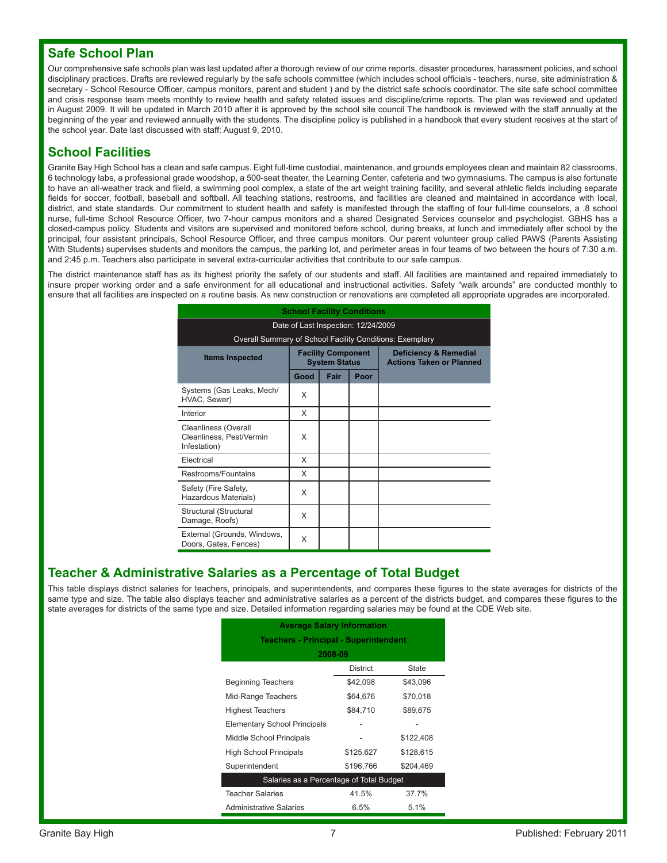#### **Safe School Plan**

Our comprehensive safe schools plan was last updated after a thorough review of our crime reports, disaster procedures, harassment policies, and school disciplinary practices. Drafts are reviewed regularly by the safe schools committee (which includes school officials - teachers, nurse, site administration & secretary - School Resource Officer, campus monitors, parent and student ) and by the district safe schools coordinator. The site safe school committee and crisis response team meets monthly to review health and safety related issues and discipline/crime reports. The plan was reviewed and updated in August 2009. It will be updated in March 2010 after it is approved by the school site council The handbook is reviewed with the staff annually at the beginning of the year and reviewed annually with the students. The discipline policy is published in a handbook that every student receives at the start of the school year. Date last discussed with staff: August 9, 2010.

#### **School Facilities**

Granite Bay High School has a clean and safe campus. Eight full-time custodial, maintenance, and grounds employees clean and maintain 82 classrooms, 6 technology labs, a professional grade woodshop, a 500-seat theater, the Learning Center, cafeteria and two gymnasiums. The campus is also fortunate to have an all-weather track and fiield, a swimming pool complex, a state of the art weight training facility, and several athletic fields including separate fields for soccer, football, baseball and softball. All teaching stations, restrooms, and facilities are cleaned and maintained in accordance with local, district, and state standards. Our commitment to student health and safety is manifested through the staffing of four full-time counselors, a .8 school nurse, full-time School Resource Officer, two 7-hour campus monitors and a shared Designated Services counselor and psychologist. GBHS has a closed-campus policy. Students and visitors are supervised and monitored before school, during breaks, at lunch and immediately after school by the principal, four assistant principals, School Resource Officer, and three campus monitors. Our parent volunteer group called PAWS (Parents Assisting With Students) supervises students and monitors the campus, the parking lot, and perimeter areas in four teams of two between the hours of 7:30 a.m. and 2:45 p.m. Teachers also participate in several extra-curricular activities that contribute to our safe campus.

The district maintenance staff has as its highest priority the safety of our students and staff. All facilities are maintained and repaired immediately to insure proper working order and a safe environment for all educational and instructional activities. Safety "walk arounds" are conducted monthly to ensure that all facilities are inspected on a routine basis. As new construction or renovations are completed all appropriate upgrades are incorporated.

| <b>School Facility Conditions</b>                                       |                                     |                                                   |      |                                                                     |
|-------------------------------------------------------------------------|-------------------------------------|---------------------------------------------------|------|---------------------------------------------------------------------|
|                                                                         | Date of Last Inspection: 12/24/2009 |                                                   |      |                                                                     |
| Overall Summary of School Facility Conditions: Exemplary                |                                     |                                                   |      |                                                                     |
| <b>Items Inspected</b>                                                  |                                     | <b>Facility Component</b><br><b>System Status</b> |      | <b>Deficiency &amp; Remedial</b><br><b>Actions Taken or Planned</b> |
|                                                                         | Good                                | Fair                                              | Poor |                                                                     |
| Systems (Gas Leaks, Mech/<br>HVAC, Sewer)                               | X                                   |                                                   |      |                                                                     |
| Interior                                                                | X                                   |                                                   |      |                                                                     |
| <b>Cleanliness (Overall</b><br>Cleanliness, Pest/Vermin<br>Infestation) | X                                   |                                                   |      |                                                                     |
| Electrical                                                              | X                                   |                                                   |      |                                                                     |
| Restrooms/Fountains                                                     | X                                   |                                                   |      |                                                                     |
| Safety (Fire Safety,<br>Hazardous Materials)                            | X                                   |                                                   |      |                                                                     |
| Structural (Structural<br>Damage, Roofs)                                | X                                   |                                                   |      |                                                                     |
| External (Grounds, Windows,<br>Doors, Gates, Fences)                    | X                                   |                                                   |      |                                                                     |

#### **Teacher & Administrative Salaries as a Percentage of Total Budget**

This table displays district salaries for teachers, principals, and superintendents, and compares these figures to the state averages for districts of the same type and size. The table also displays teacher and administrative salaries as a percent of the districts budget, and compares these figures to the state averages for districts of the same type and size. Detailed information regarding salaries may be found at the CDE Web site.

| <b>Average Salary Information</b><br><b>Teachers - Principal - Superintendent</b> |                 |              |  |  |
|-----------------------------------------------------------------------------------|-----------------|--------------|--|--|
|                                                                                   |                 |              |  |  |
|                                                                                   | <b>District</b> | <b>State</b> |  |  |
| <b>Beginning Teachers</b>                                                         | \$42,098        | \$43,096     |  |  |
| Mid-Range Teachers                                                                | \$64,676        | \$70,018     |  |  |
| <b>Highest Teachers</b>                                                           | \$84,710        | \$89,675     |  |  |
| <b>Elementary School Principals</b>                                               |                 |              |  |  |
| Middle School Principals                                                          |                 | \$122,408    |  |  |
| <b>High School Principals</b>                                                     | \$125,627       | \$128,615    |  |  |
| Superintendent                                                                    | \$196.766       | \$204.469    |  |  |
| Salaries as a Percentage of Total Budget                                          |                 |              |  |  |
| <b>Teacher Salaries</b>                                                           | 41.5%           | 37.7%        |  |  |
| <b>Administrative Salaries</b>                                                    | 6.5%            | 5.1%         |  |  |